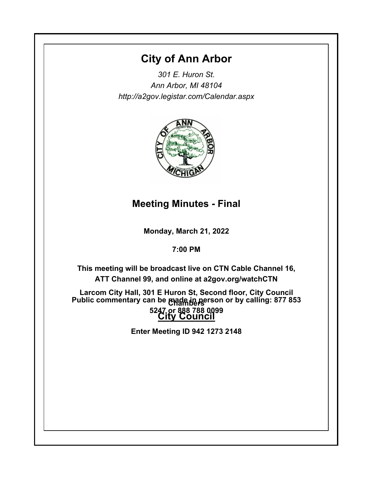# **City of Ann Arbor**

*301 E. Huron St. Ann Arbor, MI 48104 http://a2gov.legistar.com/Calendar.aspx*



# **Meeting Minutes - Final**

**Monday, March 21, 2022**

**7:00 PM**

**This meeting will be broadcast live on CTN Cable Channel 16, ATT Channel 99, and online at a2gov.org/watchCTN** 

**Larcom City Hall, 301 E Huron St, Second floor, City Council Chambers Public commentary can be made in person or by calling: 877 853 City Council 5247 or 888 788 0099** 

**Enter Meeting ID 942 1273 2148**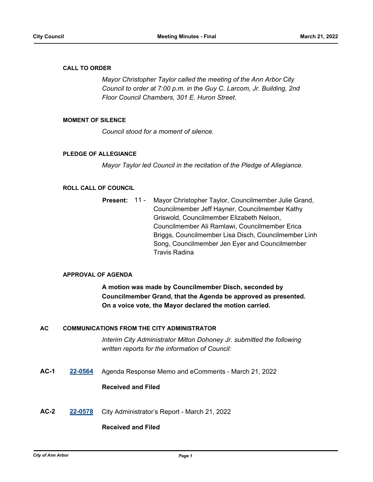#### **CALL TO ORDER**

*Mayor Christopher Taylor called the meeting of the Ann Arbor City Council to order at 7:00 p.m. in the Guy C. Larcom, Jr. Building, 2nd Floor Council Chambers, 301 E. Huron Street.*

#### **MOMENT OF SILENCE**

*Council stood for a moment of silence.*

#### **PLEDGE OF ALLEGIANCE**

*Mayor Taylor led Council in the recitation of the Pledge of Allegiance.*

## **ROLL CALL OF COUNCIL**

Mayor Christopher Taylor, Councilmember Julie Grand, Councilmember Jeff Hayner, Councilmember Kathy Griswold, Councilmember Elizabeth Nelson, Councilmember Ali Ramlawi, Councilmember Erica Briggs, Councilmember Lisa Disch, Councilmember Linh Song, Councilmember Jen Eyer and Councilmember Travis Radina **Present:** 11 -

#### **APPROVAL OF AGENDA**

**A motion was made by Councilmember Disch, seconded by Councilmember Grand, that the Agenda be approved as presented. On a voice vote, the Mayor declared the motion carried.**

### **AC COMMUNICATIONS FROM THE CITY ADMINISTRATOR**

*Interim City Administrator Milton Dohoney Jr. submitted the following written reports for the information of Council:*

**AC-1 [22-0564](http://a2gov.legistar.com/gateway.aspx?M=L&ID=29742)** Agenda Response Memo and eComments - March 21, 2022

#### **Received and Filed**

**AC-2 [22-0578](http://a2gov.legistar.com/gateway.aspx?M=L&ID=29756)** City Administrator's Report - March 21, 2022

#### **Received and Filed**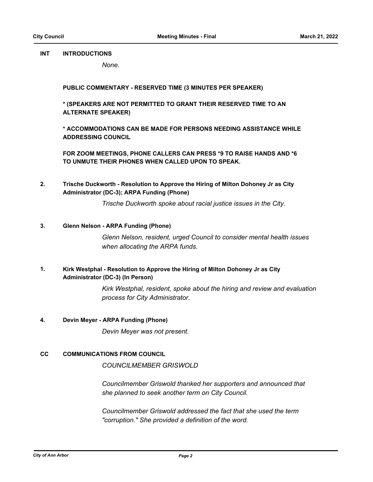#### **INT INTRODUCTIONS**

*None.*

**PUBLIC COMMENTARY - RESERVED TIME (3 MINUTES PER SPEAKER)**

**\* (SPEAKERS ARE NOT PERMITTED TO GRANT THEIR RESERVED TIME TO AN ALTERNATE SPEAKER)**

**\* ACCOMMODATIONS CAN BE MADE FOR PERSONS NEEDING ASSISTANCE WHILE ADDRESSING COUNCIL**

**FOR ZOOM MEETINGS, PHONE CALLERS CAN PRESS \*9 TO RAISE HANDS AND \*6 TO UNMUTE THEIR PHONES WHEN CALLED UPON TO SPEAK.**

**Trische Duckworth - Resolution to Approve the Hiring of Milton Dohoney Jr as City Administrator (DC-3); ARPA Funding (Phone) 2.**

*Trische Duckworth spoke about racial justice issues in the City.*

### **3. Glenn Nelson - ARPA Funding (Phone)**

*Glenn Nelson, resident, urged Council to consider mental health issues when allocating the ARPA funds.*

#### **Kirk Westphal - Resolution to Approve the Hiring of Milton Dohoney Jr as City Administrator (DC-3) (In Person) 1.**

*Kirk Westphal, resident, spoke about the hiring and review and evaluation process for City Administrator.*

#### **4. Devin Meyer - ARPA Funding (Phone)**

*Devin Meyer was not present.*

#### **CC COMMUNICATIONS FROM COUNCIL**

*COUNCILMEMBER GRISWOLD*

*Councilmember Griswold thanked her supporters and announced that she planned to seek another term on City Council.* 

*Councilmember Griswold addressed the fact that she used the term "corruption." She provided a definition of the word.*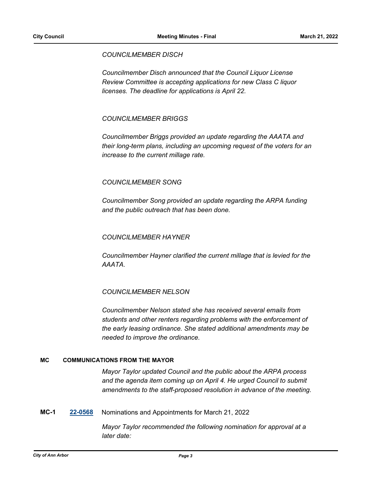## *COUNCILMEMBER DISCH*

*Councilmember Disch announced that the Council Liquor License Review Committee is accepting applications for new Class C liquor licenses. The deadline for applications is April 22.*

## *COUNCILMEMBER BRIGGS*

*Councilmember Briggs provided an update regarding the AAATA and their long-term plans, including an upcoming request of the voters for an increase to the current millage rate.*

## *COUNCILMEMBER SONG*

*Councilmember Song provided an update regarding the ARPA funding and the public outreach that has been done.*

## *COUNCILMEMBER HAYNER*

*Councilmember Hayner clarified the current millage that is levied for the AAATA.*

## *COUNCILMEMBER NELSON*

*Councilmember Nelson stated she has received several emails from students and other renters regarding problems with the enforcement of the early leasing ordinance. She stated additional amendments may be needed to improve the ordinance.*

#### **MC COMMUNICATIONS FROM THE MAYOR**

*Mayor Taylor updated Council and the public about the ARPA process and the agenda item coming up on April 4. He urged Council to submit amendments to the staff-proposed resolution in advance of the meeting.*

**MC-1 [22-0568](http://a2gov.legistar.com/gateway.aspx?M=L&ID=29746)** Nominations and Appointments for March 21, 2022

*Mayor Taylor recommended the following nomination for approval at a later date:*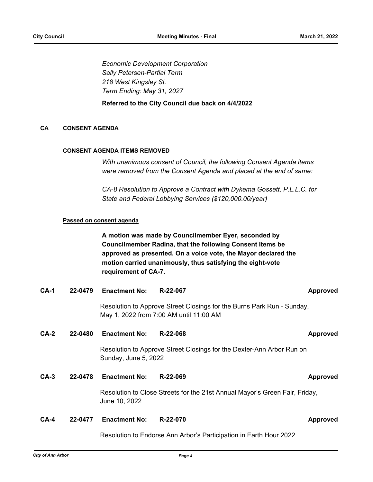*Economic Development Corporation Sally Petersen-Partial Term 218 West Kingsley St. Term Ending: May 31, 2027*

## **Referred to the City Council due back on 4/4/2022**

### **CA CONSENT AGENDA**

#### **CONSENT AGENDA ITEMS REMOVED**

*With unanimous consent of Council, the following Consent Agenda items were removed from the Consent Agenda and placed at the end of same:*

*CA-8 Resolution to Approve a Contract with Dykema Gossett, P.L.L.C. for State and Federal Lobbying Services (\$120,000.00/year)*

#### **Passed on consent agenda**

**A motion was made by Councilmember Eyer, seconded by Councilmember Radina, that the following Consent Items be approved as presented. On a voice vote, the Mayor declared the motion carried unanimously, thus satisfying the eight-vote requirement of CA-7.**

**CA-1 22-0479 Enactment No: R-22-067 Approved**

Resolution to Approve Street Closings for the Burns Park Run - Sunday, May 1, 2022 from 7:00 AM until 11:00 AM

**CA-2 22-0480 Enactment No: R-22-068 Approved**

Resolution to Approve Street Closings for the Dexter-Ann Arbor Run on Sunday, June 5, 2022

## **CA-3 22-0478 Enactment No: R-22-069 Approved**

Resolution to Close Streets for the 21st Annual Mayor's Green Fair, Friday, June 10, 2022

#### **CA-4 22-0477 Enactment No: R-22-070 Approved**

Resolution to Endorse Ann Arbor's Participation in Earth Hour 2022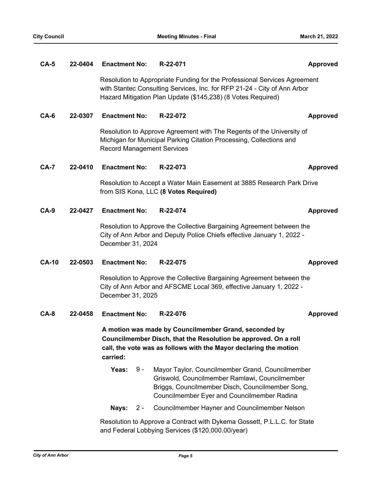Resolution to Appropriate Funding for the Professional Services Agreement with Stantec Consulting Services, Inc. for RFP 21-24 - City of Ann Arbor Hazard Mitigation Plan Update (\$145,238) (8 Votes Required)

## **CA-6 22-0307 Enactment No: R-22-072 Approved**

Resolution to Approve Agreement with The Regents of the University of Michigan for Municipal Parking Citation Processing, Collections and Record Management Services

## **CA-7 22-0410 Enactment No: R-22-073 Approved**

Resolution to Accept a Water Main Easement at 3885 Research Park Drive from SIS Kona, LLC **(8 Votes Required)**

**CA-9 22-0427 Enactment No: R-22-074 Approved**

Resolution to Approve the Collective Bargaining Agreement between the City of Ann Arbor and Deputy Police Chiefs effective January 1, 2022 - December 31, 2024

## **CA-10 22-0503 Enactment No: R-22-075 Approved**

Resolution to Approve the Collective Bargaining Agreement between the City of Ann Arbor and AFSCME Local 369, effective January 1, 2022 - December 31, 2025

## **CA-8 22-0458 Enactment No: R-22-076 Approved**

**A motion was made by Councilmember Grand, seconded by Councilmember Disch, that the Resolution be approved. On a roll call, the vote was as follows with the Mayor declaring the motion carried:**

- Yeas: 9 Mayor Taylor, Councilmember Grand, Councilmember Griswold, Councilmember Ramlawi, Councilmember Briggs, Councilmember Disch, Councilmember Song, Councilmember Eyer and Councilmember Radina 9 -
- **Nays:** 2 Councilmember Hayner and Councilmember Nelson

Resolution to Approve a Contract with Dykema Gossett, P.L.L.C. for State and Federal Lobbying Services (\$120,000.00/year)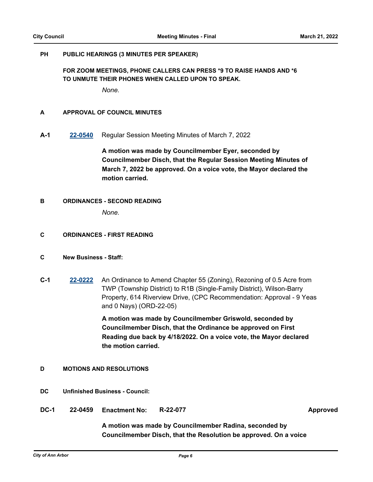#### **PUBLIC HEARINGS (3 MINUTES PER SPEAKER) PH**

**FOR ZOOM MEETINGS, PHONE CALLERS CAN PRESS \*9 TO RAISE HANDS AND \*6 TO UNMUTE THEIR PHONES WHEN CALLED UPON TO SPEAK.**

*None.*

### **A APPROVAL OF COUNCIL MINUTES**

**A-1 [22-0540](http://a2gov.legistar.com/gateway.aspx?M=L&ID=29718)** Regular Session Meeting Minutes of March 7, 2022

**A motion was made by Councilmember Eyer, seconded by Councilmember Disch, that the Regular Session Meeting Minutes of March 7, 2022 be approved. On a voice vote, the Mayor declared the motion carried.**

### **B ORDINANCES - SECOND READING**

*None.*

## **C ORDINANCES - FIRST READING**

### **C New Business - Staff:**

**C-1 [22-0222](http://a2gov.legistar.com/gateway.aspx?M=L&ID=29409)** An Ordinance to Amend Chapter 55 (Zoning), Rezoning of 0.5 Acre from TWP (Township District) to R1B (Single-Family District), Wilson-Barry Property, 614 Riverview Drive, (CPC Recommendation: Approval - 9 Yeas and 0 Nays) (ORD-22-05)

> **A motion was made by Councilmember Griswold, seconded by Councilmember Disch, that the Ordinance be approved on First Reading due back by 4/18/2022. On a voice vote, the Mayor declared the motion carried.**

## **D MOTIONS AND RESOLUTIONS**

- **DC Unfinished Business Council:**
- **DC-1 22-0459 Enactment No: R-22-077 Approved**

**A motion was made by Councilmember Radina, seconded by Councilmember Disch, that the Resolution be approved. On a voice**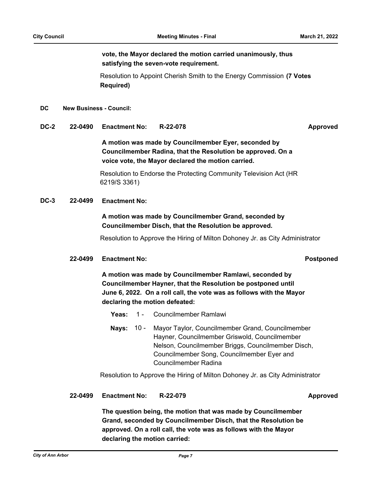**vote, the Mayor declared the motion carried unanimously, thus satisfying the seven-vote requirement.**

Resolution to Appoint Cherish Smith to the Energy Commission **(7 Votes Required)**

#### **DC New Business - Council:**

**DC-2 22-0490 Enactment No: R-22-078 Approved**

**A motion was made by Councilmember Eyer, seconded by Councilmember Radina, that the Resolution be approved. On a voice vote, the Mayor declared the motion carried.**

Resolution to Endorse the Protecting Community Television Act (HR 6219/S 3361)

#### **DC-3 22-0499 Enactment No:**

## **A motion was made by Councilmember Grand, seconded by Councilmember Disch, that the Resolution be approved.**

Resolution to Approve the Hiring of Milton Dohoney Jr. as City Administrator

#### **22-0499 Enactment No: Postponed**

**A motion was made by Councilmember Ramlawi, seconded by Councilmember Hayner, that the Resolution be postponed until June 6, 2022. On a roll call, the vote was as follows with the Mayor declaring the motion defeated:**

- **Yeas:** 1 Councilmember Ramlawi
- Nays: 10 Mayor Taylor, Councilmember Grand, Councilmember Hayner, Councilmember Griswold, Councilmember Nelson, Councilmember Briggs, Councilmember Disch, Councilmember Song, Councilmember Eyer and Councilmember Radina 10 -

Resolution to Approve the Hiring of Milton Dohoney Jr. as City Administrator

**22-0499 Enactment No: R-22-079 Approved**

**The question being, the motion that was made by Councilmember Grand, seconded by Councilmember Disch, that the Resolution be approved. On a roll call, the vote was as follows with the Mayor declaring the motion carried:**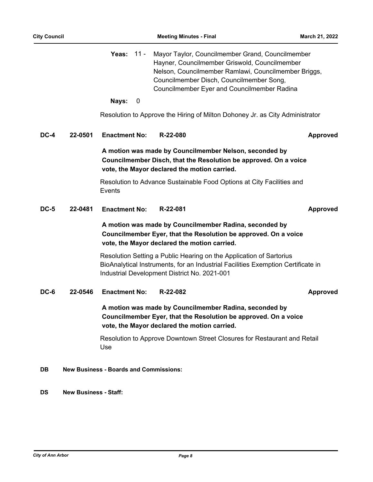**Yeas:** Mayor Taylor, Councilmember Grand, Councilmember Hayner, Councilmember Griswold, Councilmember Nelson, Councilmember Ramlawi, Councilmember Briggs, Councilmember Disch, Councilmember Song, Councilmember Eyer and Councilmember Radina Yeas: 11 -**Nays:** 0 Resolution to Approve the Hiring of Milton Dohoney Jr. as City Administrator **DC-4 22-0501 Enactment No: R-22-080 Approved A motion was made by Councilmember Nelson, seconded by Councilmember Disch, that the Resolution be approved. On a voice vote, the Mayor declared the motion carried.** Resolution to Advance Sustainable Food Options at City Facilities and Events **DC-5 22-0481 Enactment No: R-22-081 Approved A motion was made by Councilmember Radina, seconded by Councilmember Eyer, that the Resolution be approved. On a voice vote, the Mayor declared the motion carried.** Resolution Setting a Public Hearing on the Application of Sartorius BioAnalytical Instruments, for an Industrial Facilities Exemption Certificate in Industrial Development District No. 2021-001 **DC-6 22-0546 Enactment No: R-22-082 Approved A motion was made by Councilmember Radina, seconded by Councilmember Eyer, that the Resolution be approved. On a voice vote, the Mayor declared the motion carried.** Resolution to Approve Downtown Street Closures for Restaurant and Retail Use **DB New Business - Boards and Commissions:**

**DS New Business - Staff:**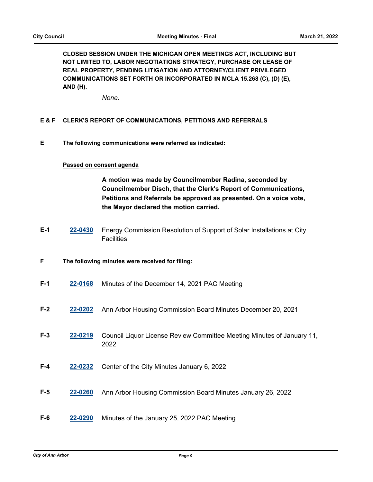**CLOSED SESSION UNDER THE MICHIGAN OPEN MEETINGS ACT, INCLUDING BUT NOT LIMITED TO, LABOR NEGOTIATIONS STRATEGY, PURCHASE OR LEASE OF REAL PROPERTY, PENDING LITIGATION AND ATTORNEY/CLIENT PRIVILEGED COMMUNICATIONS SET FORTH OR INCORPORATED IN MCLA 15.268 (C), (D) (E), AND (H).**

*None.*

#### **E & F CLERK'S REPORT OF COMMUNICATIONS, PETITIONS AND REFERRALS**

**E The following communications were referred as indicated:**

#### **Passed on consent agenda**

**A motion was made by Councilmember Radina, seconded by Councilmember Disch, that the Clerk's Report of Communications, Petitions and Referrals be approved as presented. On a voice vote, the Mayor declared the motion carried.**

- **E-1 [22-0430](http://a2gov.legistar.com/gateway.aspx?M=L&ID=29614)** Energy Commission Resolution of Support of Solar Installations at City **Facilities**
- **F The following minutes were received for filing:**
- **F-1 [22-0168](http://a2gov.legistar.com/gateway.aspx?M=L&ID=29359)** Minutes of the December 14, 2021 PAC Meeting
- **F-2 [22-0202](http://a2gov.legistar.com/gateway.aspx?M=L&ID=29389)** Ann Arbor Housing Commission Board Minutes December 20, 2021
- **F-3 [22-0219](http://a2gov.legistar.com/gateway.aspx?M=L&ID=29406)** Council Liquor License Review Committee Meeting Minutes of January 11, 2022
- **F-4 [22-0232](http://a2gov.legistar.com/gateway.aspx?M=L&ID=29419)** Center of the City Minutes January 6, 2022
- **F-5 [22-0260](http://a2gov.legistar.com/gateway.aspx?M=L&ID=29447)** Ann Arbor Housing Commission Board Minutes January 26, 2022
- **F-6 [22-0290](http://a2gov.legistar.com/gateway.aspx?M=L&ID=29477)** Minutes of the January 25, 2022 PAC Meeting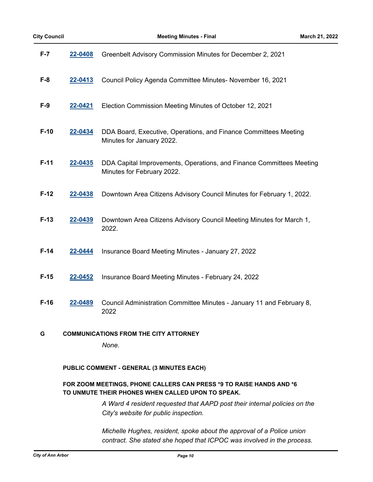| $F - 7$                                   | 22-0408                                      | Greenbelt Advisory Commission Minutes for December 2, 2021                                         |
|-------------------------------------------|----------------------------------------------|----------------------------------------------------------------------------------------------------|
| $F-8$                                     | 22-0413                                      | Council Policy Agenda Committee Minutes- November 16, 2021                                         |
| $F-9$                                     | 22-0421                                      | Election Commission Meeting Minutes of October 12, 2021                                            |
| $F-10$                                    | 22-0434                                      | DDA Board, Executive, Operations, and Finance Committees Meeting<br>Minutes for January 2022.      |
| $F-11$                                    | 22-0435                                      | DDA Capital Improvements, Operations, and Finance Committees Meeting<br>Minutes for February 2022. |
| $F-12$                                    | 22-0438                                      | Downtown Area Citizens Advisory Council Minutes for February 1, 2022.                              |
| $F-13$                                    | 22-0439                                      | Downtown Area Citizens Advisory Council Meeting Minutes for March 1,<br>2022.                      |
| $F-14$                                    | 22-0444                                      | Insurance Board Meeting Minutes - January 27, 2022                                                 |
| $F-15$                                    | 22-0452                                      | Insurance Board Meeting Minutes - February 24, 2022                                                |
| $F-16$                                    | 22-0489                                      | Council Administration Committee Minutes - January 11 and February 8,<br>2022                      |
| G                                         | <b>COMMUNICATIONS FROM THE CITY ATTORNEY</b> |                                                                                                    |
|                                           |                                              | None.                                                                                              |
| PUBLIC COMMENT - GENERAL (3 MINUTES EACH) |                                              |                                                                                                    |

## **FOR ZOOM MEETINGS, PHONE CALLERS CAN PRESS \*9 TO RAISE HANDS AND \*6 TO UNMUTE THEIR PHONES WHEN CALLED UPON TO SPEAK.**

*A Ward 4 resident requested that AAPD post their internal policies on the City's website for public inspection.*

*Michelle Hughes, resident, spoke about the approval of a Police union contract. She stated she hoped that ICPOC was involved in the process.*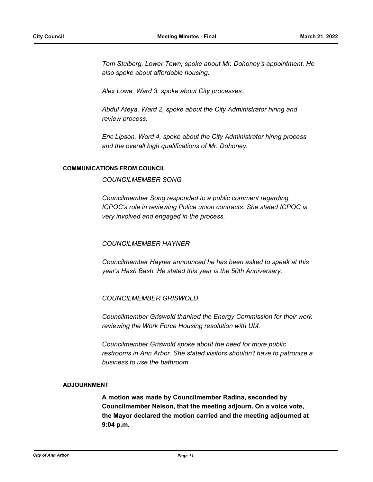*Tom Stulberg, Lower Town, spoke about Mr. Dohoney's appointment. He also spoke about affordable housing.*

*Alex Lowe, Ward 3, spoke about City processes.*

*Abdul Ateya, Ward 2, spoke about the City Administrator hiring and review process.*

*Eric Lipson, Ward 4, spoke about the City Administrator hiring process and the overall high qualifications of Mr. Dohoney.*

### **COMMUNICATIONS FROM COUNCIL**

### *COUNCILMEMBER SONG*

*Councilmember Song responded to a public comment regarding ICPOC's role in reviewing Police union contracts. She stated ICPOC is very involved and engaged in the process.*

## *COUNCILMEMBER HAYNER*

*Councilmember Hayner announced he has been asked to speak at this year's Hash Bash. He stated this year is the 50th Anniversary.*

## *COUNCILMEMBER GRISWOLD*

*Councilmember Griswold thanked the Energy Commission for their work reviewing the Work Force Housing resolution with UM.*

*Councilmember Griswold spoke about the need for more public restrooms in Ann Arbor. She stated visitors shouldn't have to patronize a business to use the bathroom.*

## **ADJOURNMENT**

**A motion was made by Councilmember Radina, seconded by Councilmember Nelson, that the meeting adjourn. On a voice vote, the Mayor declared the motion carried and the meeting adjourned at 9:04 p.m.**